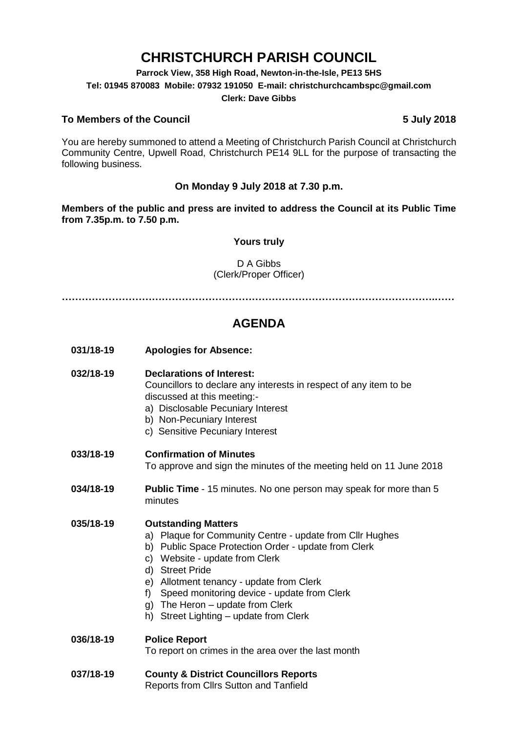# **CHRISTCHURCH PARISH COUNCIL**

**Parrock View, 358 High Road, Newton-in-the-Isle, PE13 5HS Tel: 01945 870083 Mobile: 07932 191050 E-mail: christchurchcambspc@gmail.com Clerk: Dave Gibbs**

### **To Members of the Council 5 July 2018**

You are hereby summoned to attend a Meeting of Christchurch Parish Council at Christchurch Community Centre, Upwell Road, Christchurch PE14 9LL for the purpose of transacting the following business.

### **On Monday 9 July 2018 at 7.30 p.m.**

**Members of the public and press are invited to address the Council at its Public Time from 7.35p.m. to 7.50 p.m.** 

### **Yours truly**

### D A Gibbs (Clerk/Proper Officer)

**………………………………………………………………………………………………….……**

### **AGENDA**

**031/18-19 Apologies for Absence:** 

#### **032/18-19 Declarations of Interest:**

Councillors to declare any interests in respect of any item to be discussed at this meeting:-

- a) Disclosable Pecuniary Interest
- b) Non-Pecuniary Interest
- c) Sensitive Pecuniary Interest

### **033/18-19 Confirmation of Minutes**

To approve and sign the minutes of the meeting held on 11 June 2018

**034/18-19 Public Time** - 15 minutes. No one person may speak for more than 5 minutes

### **035/18-19 Outstanding Matters**

- a) Plaque for Community Centre update from Cllr Hughes
- b) Public Space Protection Order update from Clerk
- c) Website update from Clerk
- d) Street Pride
- e) Allotment tenancy update from Clerk
- f) Speed monitoring device update from Clerk
- g) The Heron update from Clerk
- h) Street Lighting update from Clerk

## **036/18-19 Police Report**

To report on crimes in the area over the last month

**037/18-19 County & District Councillors Reports**  Reports from Cllrs Sutton and Tanfield